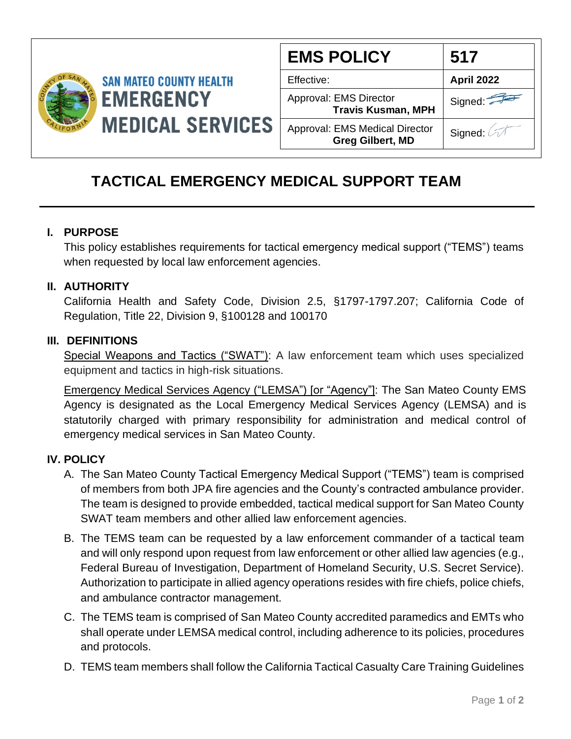

| <b>EMS POLICY</b>                                         | 517               |
|-----------------------------------------------------------|-------------------|
| Effective:                                                | <b>April 2022</b> |
| Approval: EMS Director<br><b>Travis Kusman, MPH</b>       | Signed:           |
| Approval: EMS Medical Director<br><b>Greg Gilbert, MD</b> | Signed: 4         |

# **TACTICAL EMERGENCY MEDICAL SUPPORT TEAM**

## **I. PURPOSE**

This policy establishes requirements for tactical emergency medical support ("TEMS") teams when requested by local law enforcement agencies.

#### **II. AUTHORITY**

California Health and Safety Code, Division 2.5, §1797-1797.207; California Code of Regulation, Title 22, Division 9, §100128 and 100170

#### **III. DEFINITIONS**

Special Weapons and Tactics ("SWAT"): A law enforcement team which uses specialized equipment and tactics in high-risk situations.

Emergency Medical Services Agency ("LEMSA") [or "Agency"]: The San Mateo County EMS Agency is designated as the Local Emergency Medical Services Agency (LEMSA) and is statutorily charged with primary responsibility for administration and medical control of emergency medical services in San Mateo County.

## **IV. POLICY**

- A. The San Mateo County Tactical Emergency Medical Support ("TEMS") team is comprised of members from both JPA fire agencies and the County's contracted ambulance provider. The team is designed to provide embedded, tactical medical support for San Mateo County SWAT team members and other allied law enforcement agencies.
- B. The TEMS team can be requested by a law enforcement commander of a tactical team and will only respond upon request from law enforcement or other allied law agencies (e.g., Federal Bureau of Investigation, Department of Homeland Security, U.S. Secret Service). Authorization to participate in allied agency operations resides with fire chiefs, police chiefs, and ambulance contractor management.
- C. The TEMS team is comprised of San Mateo County accredited paramedics and EMTs who shall operate under LEMSA medical control, including adherence to its policies, procedures and protocols.
- D. TEMS team members shall follow the California Tactical Casualty Care Training Guidelines